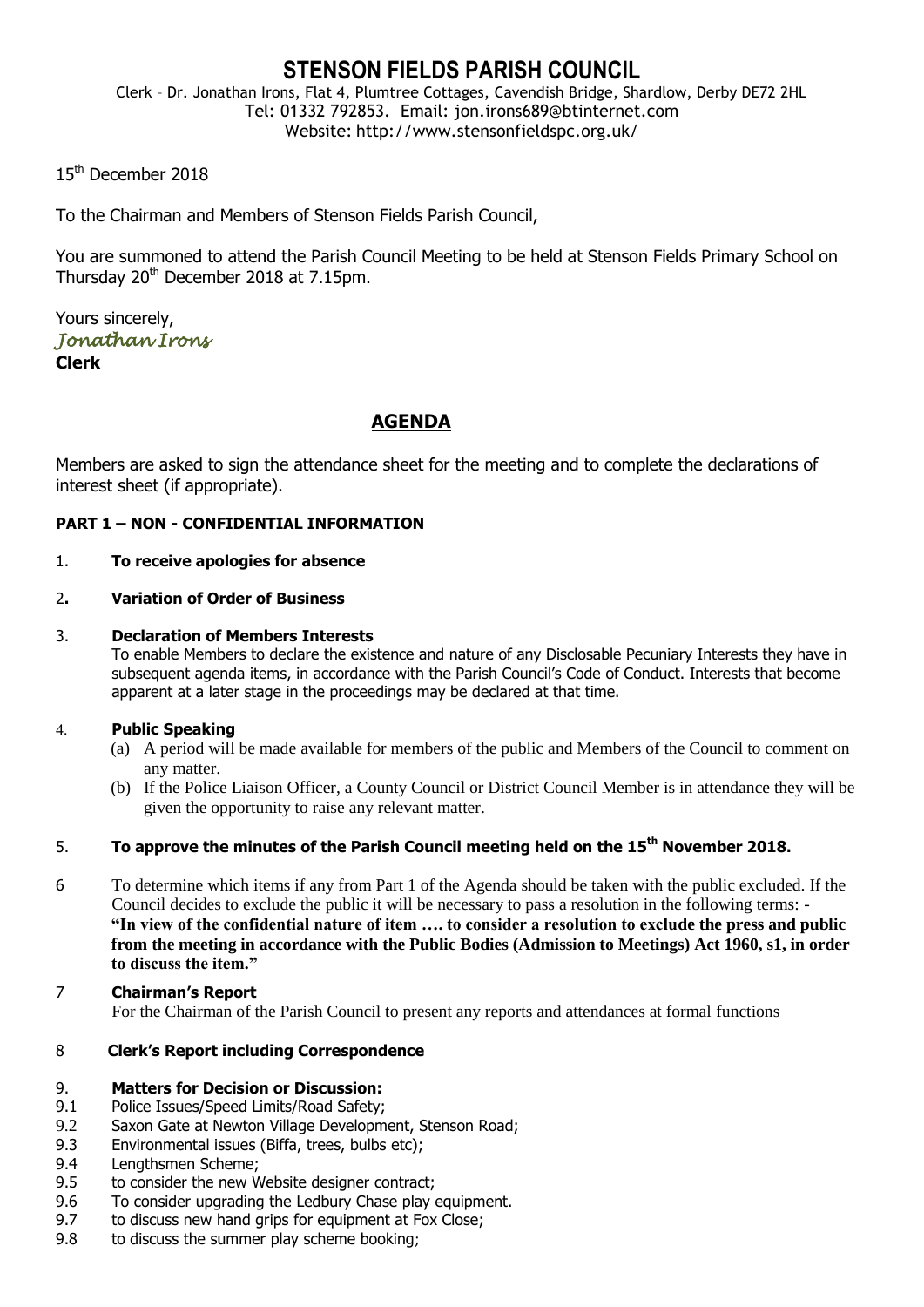# **STENSON FIELDS PARISH COUNCIL**

Clerk – Dr. Jonathan Irons, Flat 4, Plumtree Cottages, Cavendish Bridge, Shardlow, Derby DE72 2HL Tel: 01332 792853. Email: jon.irons689@btinternet.com Website: http://www.stensonfieldspc.org.uk/

15<sup>th</sup> December 2018

To the Chairman and Members of Stenson Fields Parish Council,

You are summoned to attend the Parish Council Meeting to be held at Stenson Fields Primary School on Thursday 20<sup>th</sup> December 2018 at 7.15pm.

Yours sincerely, *Jonathan Irons*  **Clerk**

# **AGENDA**

Members are asked to sign the attendance sheet for the meeting and to complete the declarations of interest sheet (if appropriate).

## **PART 1 – NON - CONFIDENTIAL INFORMATION**

#### 1. **To receive apologies for absence**

## 2**. Variation of Order of Business**

## 3. **Declaration of Members Interests**

To enable Members to declare the existence and nature of any Disclosable Pecuniary Interests they have in subsequent agenda items, in accordance with the Parish Council's Code of Conduct. Interests that become apparent at a later stage in the proceedings may be declared at that time.

#### 4. **Public Speaking**

- (a) A period will be made available for members of the public and Members of the Council to comment on any matter.
- (b) If the Police Liaison Officer, a County Council or District Council Member is in attendance they will be given the opportunity to raise any relevant matter.

## 5. **To approve the minutes of the Parish Council meeting held on the 15th November 2018.**

- 6 To determine which items if any from Part 1 of the Agenda should be taken with the public excluded. If the Council decides to exclude the public it will be necessary to pass a resolution in the following terms: - **"In view of the confidential nature of item …. to consider a resolution to exclude the press and public from the meeting in accordance with the Public Bodies (Admission to Meetings) Act 1960, s1, in order to discuss the item."**
- 7 **Chairman's Report** For the Chairman of the Parish Council to present any reports and attendances at formal functions

#### 8 **Clerk's Report including Correspondence**

#### 9. **Matters for Decision or Discussion:**

- 9.1 Police Issues/Speed Limits/Road Safety;
- 9.2 Saxon Gate at Newton Village Development, Stenson Road;
- 9.3 Environmental issues (Biffa, trees, bulbs etc);
- 9.4 Lengthsmen Scheme;
- 9.5 to consider the new Website designer contract;
- 9.6 To consider upgrading the Ledbury Chase play equipment.
- 9.7 to discuss new hand grips for equipment at Fox Close;
- 9.8 to discuss the summer play scheme booking;